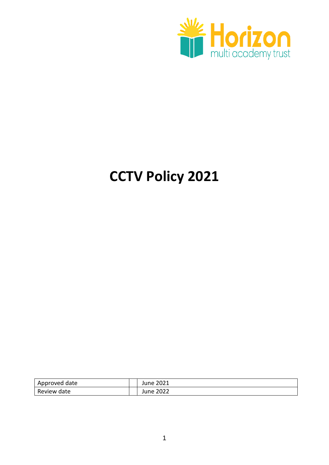

# **CCTV Policy 2021**

| Approved date | June 2021        |
|---------------|------------------|
| Review date   | <b>June 2022</b> |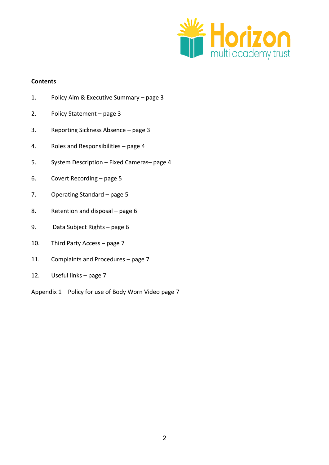

#### **Contents**

- 1. Policy Aim & Executive Summary page 3
- 2. Policy Statement page 3
- 3. Reporting Sickness Absence page 3
- 4. Roles and Responsibilities page 4
- 5. System Description Fixed Cameras– page 4
- 6. Covert Recording page 5
- 7. Operating Standard page 5
- 8. Retention and disposal page 6
- 9. Data Subject Rights page 6
- 10. Third Party Access page 7
- 11. Complaints and Procedures page 7
- 12. Useful links page 7

Appendix 1 – Policy for use of Body Worn Video page 7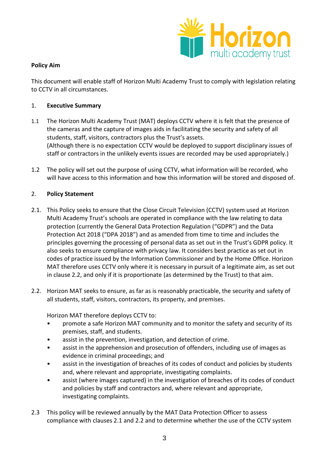

## **Policy Aim**

This document will enable staff of Horizon Multi Academy Trust to comply with legislation relating to CCTV in all circumstances.

## 1. **Executive Summary**

- 1.1 The Horizon Multi Academy Trust (MAT) deploys CCTV where it is felt that the presence of the cameras and the capture of images aids in facilitating the security and safety of all students, staff, visitors, contractors plus the Trust's assets. (Although there is no expectation CCTV would be deployed to support disciplinary issues of staff or contractors in the unlikely events issues are recorded may be used appropriately.)
- 1.2 The policy will set out the purpose of using CCTV, what information will be recorded, who will have access to this information and how this information will be stored and disposed of.

## 2. **Policy Statement**

- 2.1. This Policy seeks to ensure that the Close Circuit Television (CCTV) system used at Horizon Multi Academy Trust's schools are operated in compliance with the law relating to data protection (currently the General Data Protection Regulation ("GDPR") and the Data Protection Act 2018 ("DPA 2018") and as amended from time to time and includes the principles governing the processing of personal data as set out in the Trust's GDPR policy. It also seeks to ensure compliance with privacy law. It considers best practice as set out in codes of practice issued by the Information Commissioner and by the Home Office. Horizon MAT therefore uses CCTV only where it is necessary in pursuit of a legitimate aim, as set out in clause 2.2, and only if it is proportionate (as determined by the Trust) to that aim.
- 2.2. Horizon MAT seeks to ensure, as far as is reasonably practicable, the security and safety of all students, staff, visitors, contractors, its property, and premises.

Horizon MAT therefore deploys CCTV to:

- promote a safe Horizon MAT community and to monitor the safety and security of its premises, staff, and students.
- assist in the prevention, investigation, and detection of crime.
- assist in the apprehension and prosecution of offenders, including use of images as evidence in criminal proceedings; and
- assist in the investigation of breaches of its codes of conduct and policies by students and, where relevant and appropriate, investigating complaints.
- assist (where images captured) in the investigation of breaches of its codes of conduct and policies by staff and contractors and, where relevant and appropriate, investigating complaints.
- 2.3 This policy will be reviewed annually by the MAT Data Protection Officer to assess compliance with clauses 2.1 and 2.2 and to determine whether the use of the CCTV system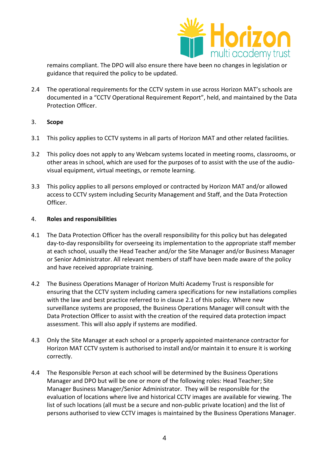

remains compliant. The DPO will also ensure there have been no changes in legislation or guidance that required the policy to be updated.

- 2.4 The operational requirements for the CCTV system in use across Horizon MAT's schools are documented in a "CCTV Operational Requirement Report", held, and maintained by the Data Protection Officer.
- 3. **Scope**
- 3.1 This policy applies to CCTV systems in all parts of Horizon MAT and other related facilities.
- 3.2 This policy does not apply to any Webcam systems located in meeting rooms, classrooms, or other areas in school, which are used for the purposes of to assist with the use of the audiovisual equipment, virtual meetings, or remote learning.
- 3.3 This policy applies to all persons employed or contracted by Horizon MAT and/or allowed access to CCTV system including Security Management and Staff, and the Data Protection Officer.

#### 4. **Roles and responsibilities**

- 4.1 The Data Protection Officer has the overall responsibility for this policy but has delegated day-to-day responsibility for overseeing its implementation to the appropriate staff member at each school, usually the Head Teacher and/or the Site Manager and/or Business Manager or Senior Administrator. All relevant members of staff have been made aware of the policy and have received appropriate training.
- 4.2 The Business Operations Manager of Horizon Multi Academy Trust is responsible for ensuring that the CCTV system including camera specifications for new installations complies with the law and best practice referred to in clause 2.1 of this policy. Where new surveillance systems are proposed, the Business Operations Manager will consult with the Data Protection Officer to assist with the creation of the required data protection impact assessment. This will also apply if systems are modified.
- 4.3 Only the Site Manager at each school or a properly appointed maintenance contractor for Horizon MAT CCTV system is authorised to install and/or maintain it to ensure it is working correctly.
- 4.4 The Responsible Person at each school will be determined by the Business Operations Manager and DPO but will be one or more of the following roles: Head Teacher; Site Manager Business Manager/Senior Administrator. They will be responsible for the evaluation of locations where live and historical CCTV images are available for viewing. The list of such locations (all must be a secure and non-public private location) and the list of persons authorised to view CCTV images is maintained by the Business Operations Manager.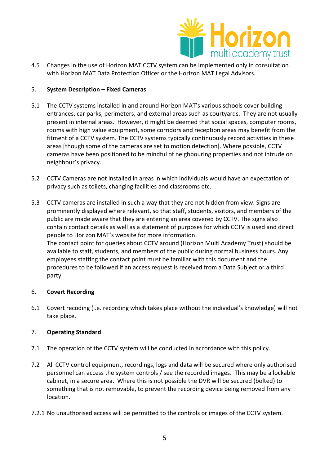

4.5 Changes in the use of Horizon MAT CCTV system can be implemented only in consultation with Horizon MAT Data Protection Officer or the Horizon MAT Legal Advisors.

# 5. **System Description – Fixed Cameras**

- 5.1 The CCTV systems installed in and around Horizon MAT's various schools cover building entrances, car parks, perimeters, and external areas such as courtyards. They are not usually present in internal areas. However, it might be deemed that social spaces, computer rooms, rooms with high value equipment, some corridors and reception areas may benefit from the fitment of a CCTV system. The CCTV systems typically continuously record activities in these areas [though some of the cameras are set to motion detection]. Where possible, CCTV cameras have been positioned to be mindful of neighbouring properties and not intrude on neighbour's privacy.
- 5.2 CCTV Cameras are not installed in areas in which individuals would have an expectation of privacy such as toilets, changing facilities and classrooms etc.
- 5.3 CCTV cameras are installed in such a way that they are not hidden from view. Signs are prominently displayed where relevant, so that staff, students, visitors, and members of the public are made aware that they are entering an area covered by CCTV. The signs also contain contact details as well as a statement of purposes for which CCTV is used and direct people to Horizon MAT's website for more information. The contact point for queries about CCTV around (Horizon Multi Academy Trust) should be available to staff, students, and members of the public during normal business hours. Any employees staffing the contact point must be familiar with this document and the procedures to be followed if an access request is received from a Data Subject or a third party.

#### 6. **Covert Recording**

6.1 Covert recoding (i.e. recording which takes place without the individual's knowledge) will not take place.

# 7. **Operating Standard**

- 7.1 The operation of the CCTV system will be conducted in accordance with this policy.
- 7.2 All CCTV control equipment, recordings, logs and data will be secured where only authorised personnel can access the system controls / see the recorded images. This may be a lockable cabinet, in a secure area. Where this is not possible the DVR will be secured (bolted) to something that is not removable, to prevent the recording device being removed from any location.
- 7.2.1 No unauthorised access will be permitted to the controls or images of the CCTV system.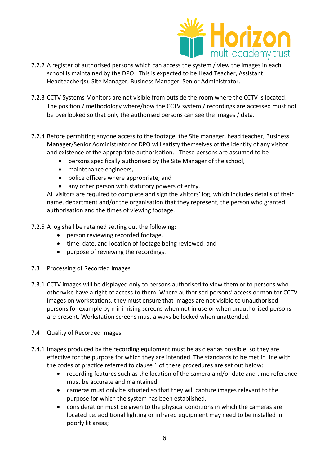

- 7.2.2 A register of authorised persons which can access the system / view the images in each school is maintained by the DPO. This is expected to be Head Teacher, Assistant Headteacher(s), Site Manager, Business Manager, Senior Administrator.
- 7.2.3 CCTV Systems Monitors are not visible from outside the room where the CCTV is located. The position / methodology where/how the CCTV system / recordings are accessed must not be overlooked so that only the authorised persons can see the images / data.
- 7.2.4 Before permitting anyone access to the footage, the Site manager, head teacher, Business Manager/Senior Administrator or DPO will satisfy themselves of the identity of any visitor and existence of the appropriate authorisation. These persons are assumed to be
	- persons specifically authorised by the Site Manager of the school,
	- maintenance engineers,
	- police officers where appropriate; and
	- any other person with statutory powers of entry.

All visitors are required to complete and sign the visitors' log, which includes details of their name, department and/or the organisation that they represent, the person who granted authorisation and the times of viewing footage.

7.2.5 A log shall be retained setting out the following:

- person reviewing recorded footage.
- time, date, and location of footage being reviewed; and
- purpose of reviewing the recordings.
- 7.3 Processing of Recorded Images
- 7.3.1 CCTV images will be displayed only to persons authorised to view them or to persons who otherwise have a right of access to them. Where authorised persons' access or monitor CCTV images on workstations, they must ensure that images are not visible to unauthorised persons for example by minimising screens when not in use or when unauthorised persons are present. Workstation screens must always be locked when unattended.
- 7.4 Quality of Recorded Images
- 7.4.1 Images produced by the recording equipment must be as clear as possible, so they are effective for the purpose for which they are intended. The standards to be met in line with the codes of practice referred to clause 1 of these procedures are set out below:
	- recording features such as the location of the camera and/or date and time reference must be accurate and maintained.
	- cameras must only be situated so that they will capture images relevant to the purpose for which the system has been established.
	- consideration must be given to the physical conditions in which the cameras are located i.e. additional lighting or infrared equipment may need to be installed in poorly lit areas;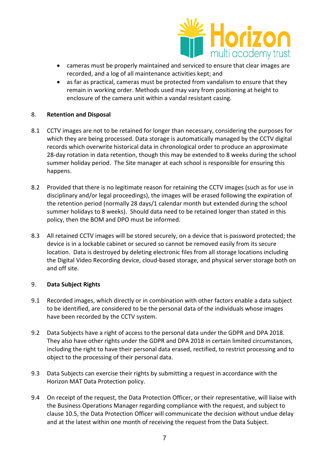

- cameras must be properly maintained and serviced to ensure that clear images are recorded, and a log of all maintenance activities kept; and
- as far as practical, cameras must be protected from vandalism to ensure that they remain in working order. Methods used may vary from positioning at height to enclosure of the camera unit within a vandal resistant casing.

## 8. **Retention and Disposal**

- 8.1 CCTV images are not to be retained for longer than necessary, considering the purposes for which they are being processed. Data storage is automatically managed by the CCTV digital records which overwrite historical data in chronological order to produce an approximate 28-day rotation in data retention, though this may be extended to 8 weeks during the school summer holiday period. The Site manager at each school is responsible for ensuring this happens.
- 8.2 Provided that there is no legitimate reason for retaining the CCTV images (such as for use in disciplinary and/or legal proceedings), the images will be erased following the expiration of the retention period (normally 28 days/1 calendar month but extended during the school summer holidays to 8 weeks). Should data need to be retained longer than stated in this policy, then the BOM and DPO must be informed.
- 8.3 All retained CCTV images will be stored securely, on a device that is password protected; the device is in a lockable cabinet or secured so cannot be removed easily from its secure location. Data is destroyed by deleting electronic files from all storage locations including the Digital Video Recording device, cloud-based storage, and physical server storage both on and off site.

#### 9. **Data Subject Rights**

- 9.1 Recorded images, which directly or in combination with other factors enable a data subject to be identified, are considered to be the personal data of the individuals whose images have been recorded by the CCTV system.
- 9.2 Data Subjects have a right of access to the personal data under the GDPR and DPA 2018. They also have other rights under the GDPR and DPA 2018 in certain limited circumstances, including the right to have their personal data erased, rectified, to restrict processing and to object to the processing of their personal data.
- 9.3 Data Subjects can exercise their rights by submitting a request in accordance with the Horizon MAT Data Protection policy.
- 9.4 On receipt of the request, the Data Protection Officer, or their representative, will liaise with the Business Operations Manager regarding compliance with the request, and subject to clause 10.5, the Data Protection Officer will communicate the decision without undue delay and at the latest within one month of receiving the request from the Data Subject.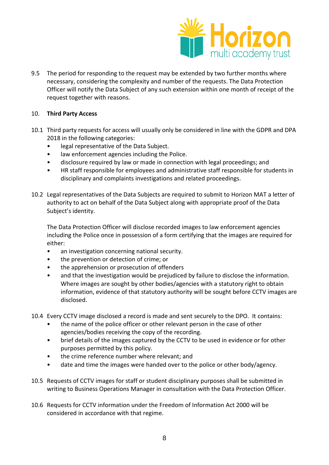

9.5 The period for responding to the request may be extended by two further months where necessary, considering the complexity and number of the requests. The Data Protection Officer will notify the Data Subject of any such extension within one month of receipt of the request together with reasons.

#### 10. **Third Party Access**

- 10.1 Third party requests for access will usually only be considered in line with the GDPR and DPA 2018 in the following categories:
	- legal representative of the Data Subject.
	- law enforcement agencies including the Police.
	- disclosure required by law or made in connection with legal proceedings; and
	- HR staff responsible for employees and administrative staff responsible for students in disciplinary and complaints investigations and related proceedings.
- 10.2 Legal representatives of the Data Subjects are required to submit to Horizon MAT a letter of authority to act on behalf of the Data Subject along with appropriate proof of the Data Subject's identity.

The Data Protection Officer will disclose recorded images to law enforcement agencies including the Police once in possession of a form certifying that the images are required for either:

- an investigation concerning national security.
- the prevention or detection of crime; or
- the apprehension or prosecution of offenders
- and that the investigation would be prejudiced by failure to disclose the information. Where images are sought by other bodies/agencies with a statutory right to obtain information, evidence of that statutory authority will be sought before CCTV images are disclosed.
- 10.4 Every CCTV image disclosed a record is made and sent securely to the DPO. It contains:
	- the name of the police officer or other relevant person in the case of other agencies/bodies receiving the copy of the recording.
	- brief details of the images captured by the CCTV to be used in evidence or for other purposes permitted by this policy.
	- the crime reference number where relevant; and
	- date and time the images were handed over to the police or other body/agency.
- 10.5 Requests of CCTV images for staff or student disciplinary purposes shall be submitted in writing to Business Operations Manager in consultation with the Data Protection Officer.
- 10.6 Requests for CCTV information under the Freedom of Information Act 2000 will be considered in accordance with that regime.